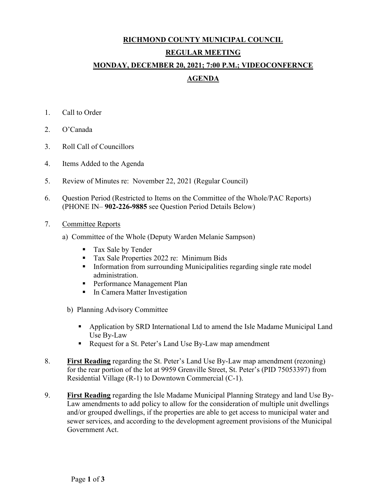# **RICHMOND COUNTY MUNICIPAL COUNCIL REGULAR MEETING MONDAY, DECEMBER 20, 2021; 7:00 P.M.; VIDEOCONFERNCE AGENDA**

- 1. Call to Order
- 2. O'Canada
- 3. Roll Call of Councillors
- 4. Items Added to the Agenda
- 5. Review of Minutes re: November 22, 2021 (Regular Council)
- 6. Question Period (Restricted to Items on the Committee of the Whole/PAC Reports) (PHONE IN– **902-226-9885** see Question Period Details Below)
- 7. Committee Reports
	- a) Committee of the Whole (Deputy Warden Melanie Sampson)
		- **Tax Sale by Tender**
		- Tax Sale Properties 2022 re: Minimum Bids
		- **Information from surrounding Municipalities regarding single rate model** administration.
		- **Performance Management Plan**
		- **In Camera Matter Investigation**
		- b) Planning Advisory Committee
			- Application by SRD International Ltd to amend the Isle Madame Municipal Land Use By-Law
			- Request for a St. Peter's Land Use By-Law map amendment
- 8. **First Reading** regarding the St. Peter's Land Use By-Law map amendment (rezoning) for the rear portion of the lot at 9959 Grenville Street, St. Peter's (PID 75053397) from Residential Village (R-1) to Downtown Commercial (C-1).
- 9. **First Reading** regarding the Isle Madame Municipal Planning Strategy and land Use By-Law amendments to add policy to allow for the consideration of multiple unit dwellings and/or grouped dwellings, if the properties are able to get access to municipal water and sewer services, and according to the development agreement provisions of the Municipal Government Act.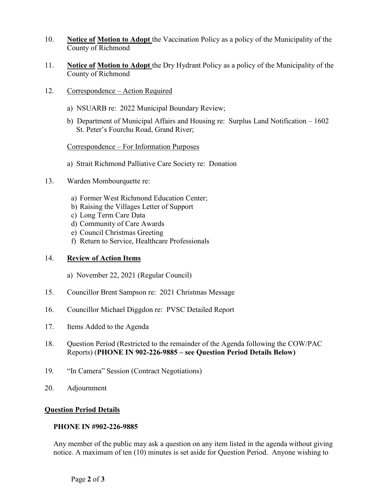- 10. **Notice of Motion to Adopt** the Vaccination Policy as a policy of the Municipality of the County of Richmond
- 11. **Notice of Motion to Adopt** the Dry Hydrant Policy as a policy of the Municipality of the County of Richmond
- 12. Correspondence Action Required
	- a) NSUARB re: 2022 Municipal Boundary Review;
	- b) Department of Municipal Affairs and Housing re: Surplus Land Notification 1602 St. Peter's Fourchu Road, Grand River;

# Correspondence – For Information Purposes

- a) Strait Richmond Palliative Care Society re: Donation
- 13. Warden Mombourquette re:
	- a) Former West Richmond Education Center;
	- b) Raising the Villages Letter of Support
	- c) Long Term Care Data
	- d) Community of Care Awards
	- e) Council Christmas Greeting
	- f) Return to Service, Healthcare Professionals

# 14. **Review of Action Items**

- a) November 22, 2021 (Regular Council)
- 15. Councillor Brent Sampson re: 2021 Christmas Message
- 16. Councillor Michael Diggdon re: PVSC Detailed Report
- 17. Items Added to the Agenda
- 18. Question Period (Restricted to the remainder of the Agenda following the COW/PAC Reports) (**PHONE IN 902-226-9885 – see Question Period Details Below)**
- 19. "In Camera" Session (Contract Negotiations)
- 20. Adjournment

# **Question Period Details**

# **PHONE IN #902-226-9885**

Any member of the public may ask a question on any item listed in the agenda without giving notice. A maximum of ten (10) minutes is set aside for Question Period. Anyone wishing to